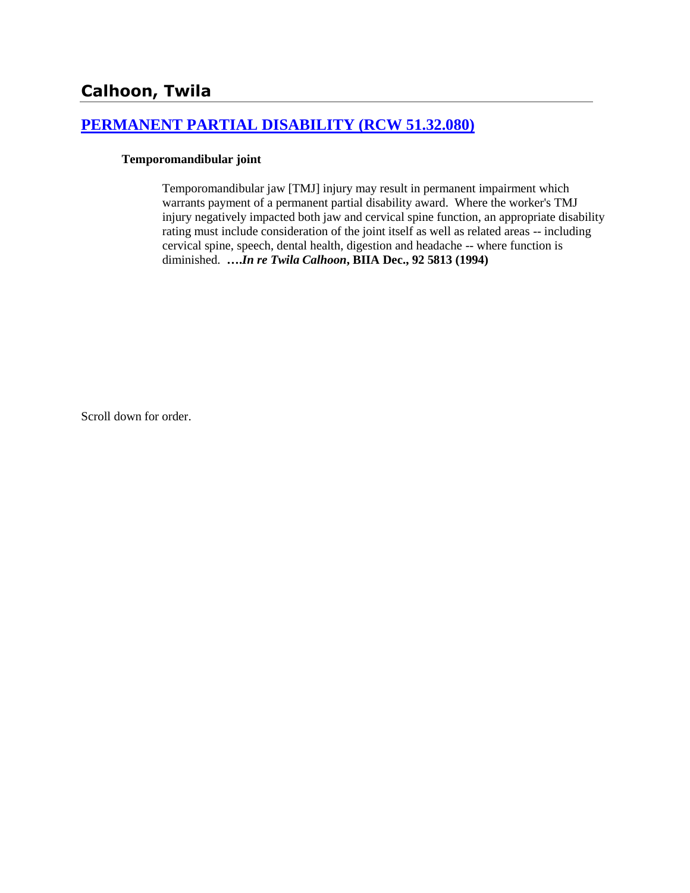## **[PERMANENT PARTIAL DISABILITY \(RCW 51.32.080\)](http://www.biia.wa.gov/SDSubjectIndex.html#PERMANENT_PARTIAL_DISABILITY)**

#### **Temporomandibular joint**

Temporomandibular jaw [TMJ] injury may result in permanent impairment which warrants payment of a permanent partial disability award. Where the worker's TMJ injury negatively impacted both jaw and cervical spine function, an appropriate disability rating must include consideration of the joint itself as well as related areas -- including cervical spine, speech, dental health, digestion and headache -- where function is diminished. **….***In re Twila Calhoon***, BIIA Dec., 92 5813 (1994)**

Scroll down for order.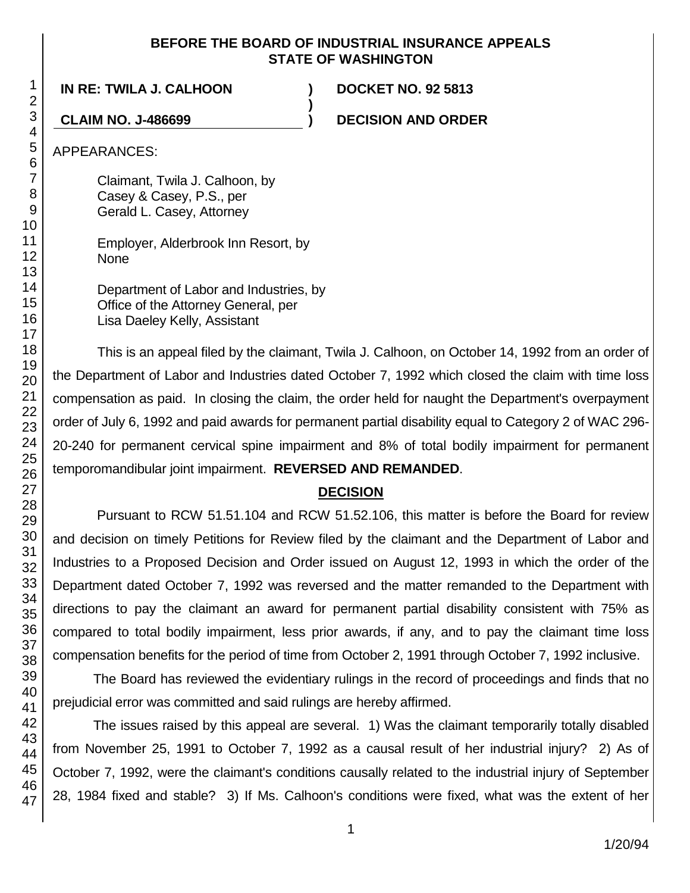### **BEFORE THE BOARD OF INDUSTRIAL INSURANCE APPEALS STATE OF WASHINGTON**

**)**

**IN RE: TWILA J. CALHOON ) DOCKET NO. 92 5813**

**CLAIM NO. J-486699 ) DECISION AND ORDER**

APPEARANCES:

Claimant, Twila J. Calhoon, by Casey & Casey, P.S., per Gerald L. Casey, Attorney

Employer, Alderbrook Inn Resort, by None

Department of Labor and Industries, by Office of the Attorney General, per Lisa Daeley Kelly, Assistant

This is an appeal filed by the claimant, Twila J. Calhoon, on October 14, 1992 from an order of the Department of Labor and Industries dated October 7, 1992 which closed the claim with time loss compensation as paid. In closing the claim, the order held for naught the Department's overpayment order of July 6, 1992 and paid awards for permanent partial disability equal to Category 2 of WAC 296- 20-240 for permanent cervical spine impairment and 8% of total bodily impairment for permanent temporomandibular joint impairment. **REVERSED AND REMANDED**.

# **DECISION**

Pursuant to RCW 51.51.104 and RCW 51.52.106, this matter is before the Board for review and decision on timely Petitions for Review filed by the claimant and the Department of Labor and Industries to a Proposed Decision and Order issued on August 12, 1993 in which the order of the Department dated October 7, 1992 was reversed and the matter remanded to the Department with directions to pay the claimant an award for permanent partial disability consistent with 75% as compared to total bodily impairment, less prior awards, if any, and to pay the claimant time loss compensation benefits for the period of time from October 2, 1991 through October 7, 1992 inclusive.

The Board has reviewed the evidentiary rulings in the record of proceedings and finds that no prejudicial error was committed and said rulings are hereby affirmed.

The issues raised by this appeal are several. 1) Was the claimant temporarily totally disabled from November 25, 1991 to October 7, 1992 as a causal result of her industrial injury? 2) As of October 7, 1992, were the claimant's conditions causally related to the industrial injury of September 28, 1984 fixed and stable? 3) If Ms. Calhoon's conditions were fixed, what was the extent of her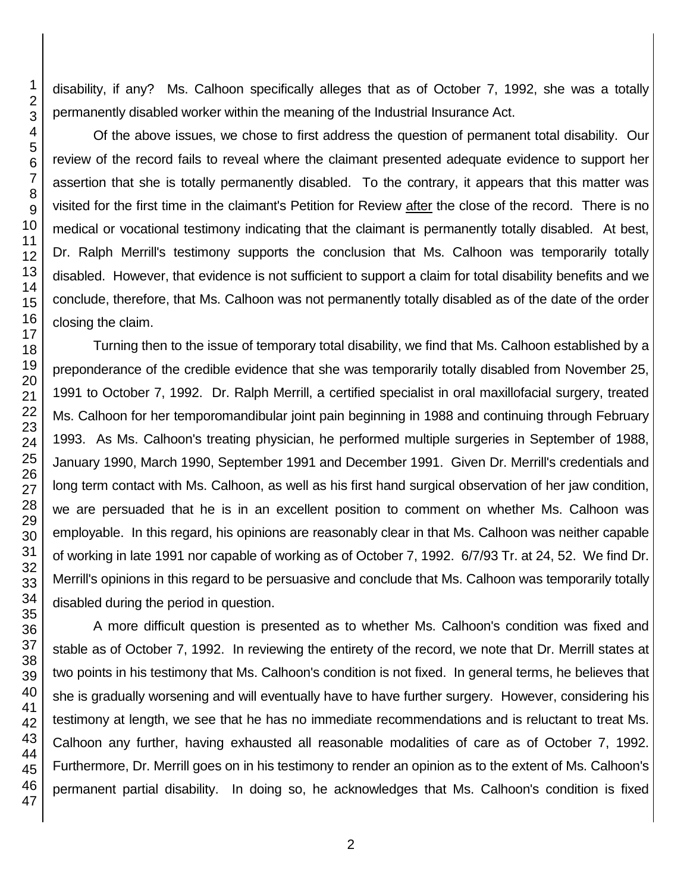disability, if any? Ms. Calhoon specifically alleges that as of October 7, 1992, she was a totally permanently disabled worker within the meaning of the Industrial Insurance Act.

Of the above issues, we chose to first address the question of permanent total disability. Our review of the record fails to reveal where the claimant presented adequate evidence to support her assertion that she is totally permanently disabled. To the contrary, it appears that this matter was visited for the first time in the claimant's Petition for Review after the close of the record. There is no medical or vocational testimony indicating that the claimant is permanently totally disabled. At best, Dr. Ralph Merrill's testimony supports the conclusion that Ms. Calhoon was temporarily totally disabled. However, that evidence is not sufficient to support a claim for total disability benefits and we conclude, therefore, that Ms. Calhoon was not permanently totally disabled as of the date of the order closing the claim.

Turning then to the issue of temporary total disability, we find that Ms. Calhoon established by a preponderance of the credible evidence that she was temporarily totally disabled from November 25, 1991 to October 7, 1992. Dr. Ralph Merrill, a certified specialist in oral maxillofacial surgery, treated Ms. Calhoon for her temporomandibular joint pain beginning in 1988 and continuing through February 1993. As Ms. Calhoon's treating physician, he performed multiple surgeries in September of 1988, January 1990, March 1990, September 1991 and December 1991. Given Dr. Merrill's credentials and long term contact with Ms. Calhoon, as well as his first hand surgical observation of her jaw condition, we are persuaded that he is in an excellent position to comment on whether Ms. Calhoon was employable. In this regard, his opinions are reasonably clear in that Ms. Calhoon was neither capable of working in late 1991 nor capable of working as of October 7, 1992. 6/7/93 Tr. at 24, 52. We find Dr. Merrill's opinions in this regard to be persuasive and conclude that Ms. Calhoon was temporarily totally disabled during the period in question.

A more difficult question is presented as to whether Ms. Calhoon's condition was fixed and stable as of October 7, 1992. In reviewing the entirety of the record, we note that Dr. Merrill states at two points in his testimony that Ms. Calhoon's condition is not fixed. In general terms, he believes that she is gradually worsening and will eventually have to have further surgery. However, considering his testimony at length, we see that he has no immediate recommendations and is reluctant to treat Ms. Calhoon any further, having exhausted all reasonable modalities of care as of October 7, 1992. Furthermore, Dr. Merrill goes on in his testimony to render an opinion as to the extent of Ms. Calhoon's permanent partial disability. In doing so, he acknowledges that Ms. Calhoon's condition is fixed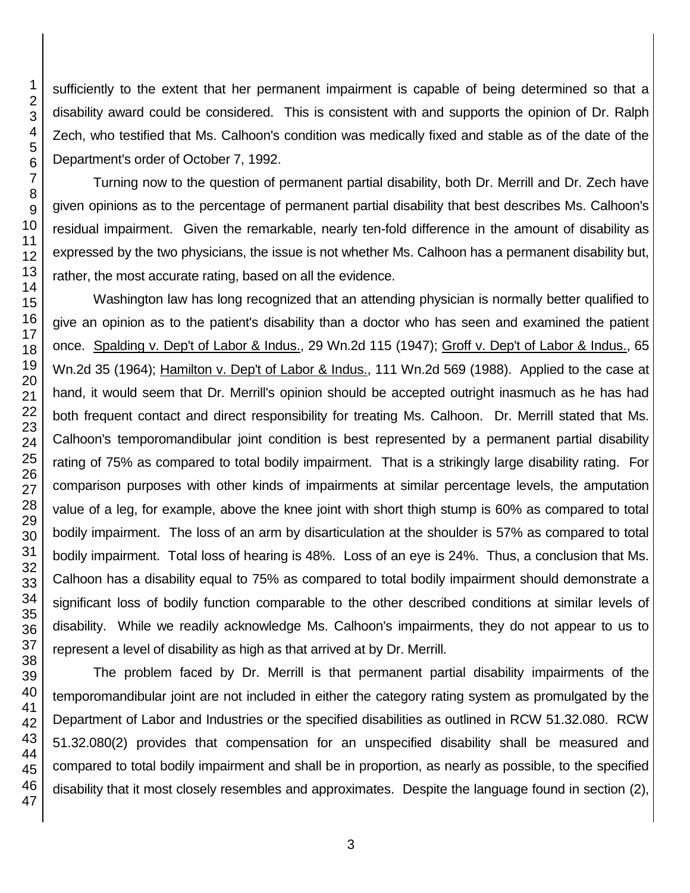sufficiently to the extent that her permanent impairment is capable of being determined so that a disability award could be considered. This is consistent with and supports the opinion of Dr. Ralph Zech, who testified that Ms. Calhoon's condition was medically fixed and stable as of the date of the Department's order of October 7, 1992.

Turning now to the question of permanent partial disability, both Dr. Merrill and Dr. Zech have given opinions as to the percentage of permanent partial disability that best describes Ms. Calhoon's residual impairment. Given the remarkable, nearly ten-fold difference in the amount of disability as expressed by the two physicians, the issue is not whether Ms. Calhoon has a permanent disability but, rather, the most accurate rating, based on all the evidence.

Washington law has long recognized that an attending physician is normally better qualified to give an opinion as to the patient's disability than a doctor who has seen and examined the patient once. Spalding v. Dep't of Labor & Indus., 29 Wn.2d 115 (1947); Groff v. Dep't of Labor & Indus., 65 Wn.2d 35 (1964); Hamilton v. Dep't of Labor & Indus., 111 Wn.2d 569 (1988). Applied to the case at hand, it would seem that Dr. Merrill's opinion should be accepted outright inasmuch as he has had both frequent contact and direct responsibility for treating Ms. Calhoon. Dr. Merrill stated that Ms. Calhoon's temporomandibular joint condition is best represented by a permanent partial disability rating of 75% as compared to total bodily impairment. That is a strikingly large disability rating. For comparison purposes with other kinds of impairments at similar percentage levels, the amputation value of a leg, for example, above the knee joint with short thigh stump is 60% as compared to total bodily impairment. The loss of an arm by disarticulation at the shoulder is 57% as compared to total bodily impairment. Total loss of hearing is 48%. Loss of an eye is 24%. Thus, a conclusion that Ms. Calhoon has a disability equal to 75% as compared to total bodily impairment should demonstrate a significant loss of bodily function comparable to the other described conditions at similar levels of disability. While we readily acknowledge Ms. Calhoon's impairments, they do not appear to us to represent a level of disability as high as that arrived at by Dr. Merrill.

The problem faced by Dr. Merrill is that permanent partial disability impairments of the temporomandibular joint are not included in either the category rating system as promulgated by the Department of Labor and Industries or the specified disabilities as outlined in RCW 51.32.080. RCW 51.32.080(2) provides that compensation for an unspecified disability shall be measured and compared to total bodily impairment and shall be in proportion, as nearly as possible, to the specified disability that it most closely resembles and approximates. Despite the language found in section (2),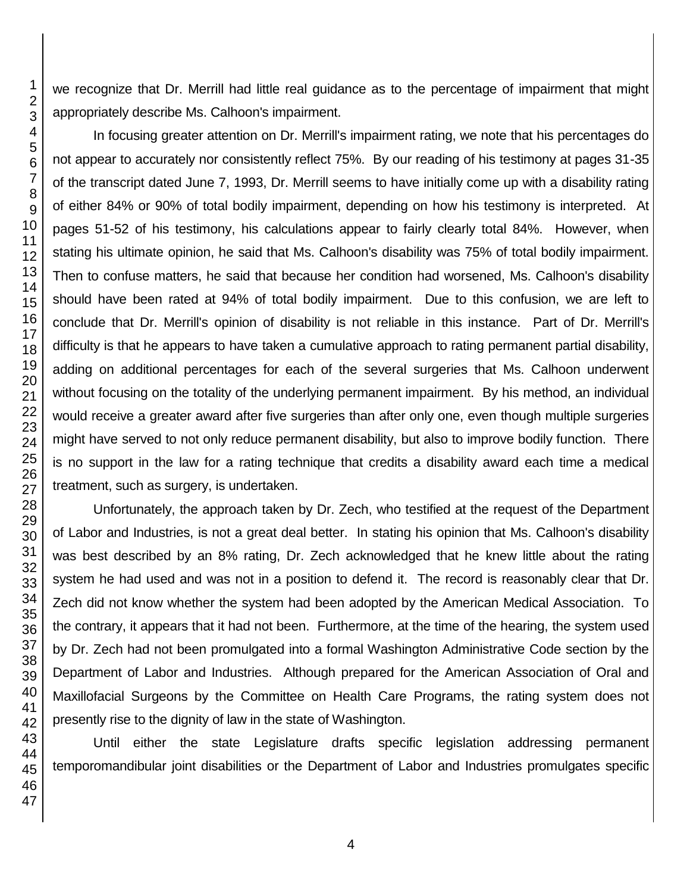we recognize that Dr. Merrill had little real guidance as to the percentage of impairment that might appropriately describe Ms. Calhoon's impairment.

In focusing greater attention on Dr. Merrill's impairment rating, we note that his percentages do not appear to accurately nor consistently reflect 75%. By our reading of his testimony at pages 31-35 of the transcript dated June 7, 1993, Dr. Merrill seems to have initially come up with a disability rating of either 84% or 90% of total bodily impairment, depending on how his testimony is interpreted. At pages 51-52 of his testimony, his calculations appear to fairly clearly total 84%. However, when stating his ultimate opinion, he said that Ms. Calhoon's disability was 75% of total bodily impairment. Then to confuse matters, he said that because her condition had worsened, Ms. Calhoon's disability should have been rated at 94% of total bodily impairment. Due to this confusion, we are left to conclude that Dr. Merrill's opinion of disability is not reliable in this instance. Part of Dr. Merrill's difficulty is that he appears to have taken a cumulative approach to rating permanent partial disability, adding on additional percentages for each of the several surgeries that Ms. Calhoon underwent without focusing on the totality of the underlying permanent impairment. By his method, an individual would receive a greater award after five surgeries than after only one, even though multiple surgeries might have served to not only reduce permanent disability, but also to improve bodily function. There is no support in the law for a rating technique that credits a disability award each time a medical treatment, such as surgery, is undertaken.

Unfortunately, the approach taken by Dr. Zech, who testified at the request of the Department of Labor and Industries, is not a great deal better. In stating his opinion that Ms. Calhoon's disability was best described by an 8% rating, Dr. Zech acknowledged that he knew little about the rating system he had used and was not in a position to defend it. The record is reasonably clear that Dr. Zech did not know whether the system had been adopted by the American Medical Association. To the contrary, it appears that it had not been. Furthermore, at the time of the hearing, the system used by Dr. Zech had not been promulgated into a formal Washington Administrative Code section by the Department of Labor and Industries. Although prepared for the American Association of Oral and Maxillofacial Surgeons by the Committee on Health Care Programs, the rating system does not presently rise to the dignity of law in the state of Washington.

Until either the state Legislature drafts specific legislation addressing permanent temporomandibular joint disabilities or the Department of Labor and Industries promulgates specific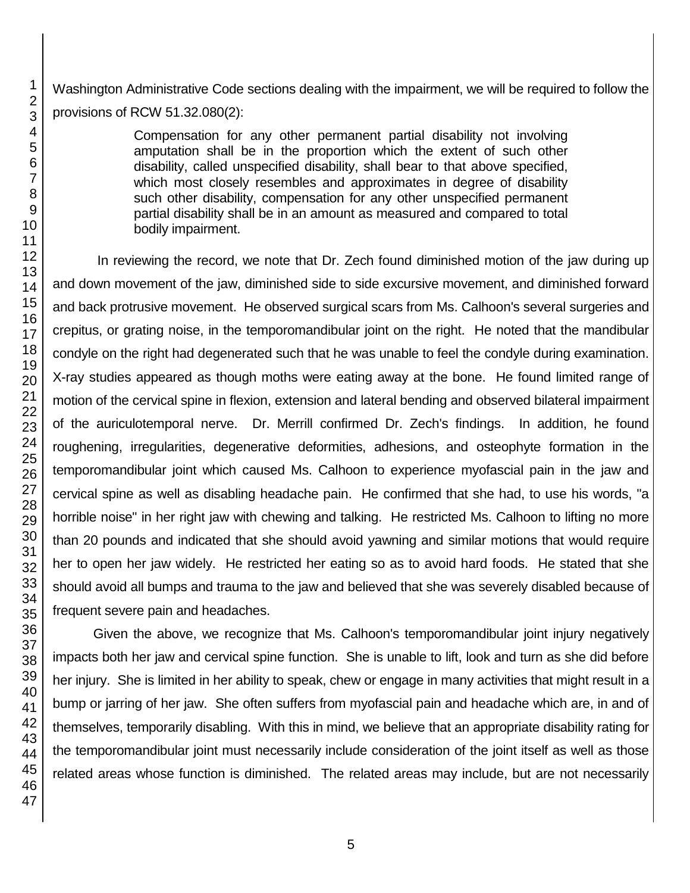Washington Administrative Code sections dealing with the impairment, we will be required to follow the provisions of RCW 51.32.080(2):

> Compensation for any other permanent partial disability not involving amputation shall be in the proportion which the extent of such other disability, called unspecified disability, shall bear to that above specified, which most closely resembles and approximates in degree of disability such other disability, compensation for any other unspecified permanent partial disability shall be in an amount as measured and compared to total bodily impairment.

In reviewing the record, we note that Dr. Zech found diminished motion of the jaw during up and down movement of the jaw, diminished side to side excursive movement, and diminished forward and back protrusive movement. He observed surgical scars from Ms. Calhoon's several surgeries and crepitus, or grating noise, in the temporomandibular joint on the right. He noted that the mandibular condyle on the right had degenerated such that he was unable to feel the condyle during examination. X-ray studies appeared as though moths were eating away at the bone. He found limited range of motion of the cervical spine in flexion, extension and lateral bending and observed bilateral impairment of the auriculotemporal nerve. Dr. Merrill confirmed Dr. Zech's findings. In addition, he found roughening, irregularities, degenerative deformities, adhesions, and osteophyte formation in the temporomandibular joint which caused Ms. Calhoon to experience myofascial pain in the jaw and cervical spine as well as disabling headache pain. He confirmed that she had, to use his words, "a horrible noise" in her right jaw with chewing and talking. He restricted Ms. Calhoon to lifting no more than 20 pounds and indicated that she should avoid yawning and similar motions that would require her to open her jaw widely. He restricted her eating so as to avoid hard foods. He stated that she should avoid all bumps and trauma to the jaw and believed that she was severely disabled because of frequent severe pain and headaches.

Given the above, we recognize that Ms. Calhoon's temporomandibular joint injury negatively impacts both her jaw and cervical spine function. She is unable to lift, look and turn as she did before her injury. She is limited in her ability to speak, chew or engage in many activities that might result in a bump or jarring of her jaw. She often suffers from myofascial pain and headache which are, in and of themselves, temporarily disabling. With this in mind, we believe that an appropriate disability rating for the temporomandibular joint must necessarily include consideration of the joint itself as well as those related areas whose function is diminished. The related areas may include, but are not necessarily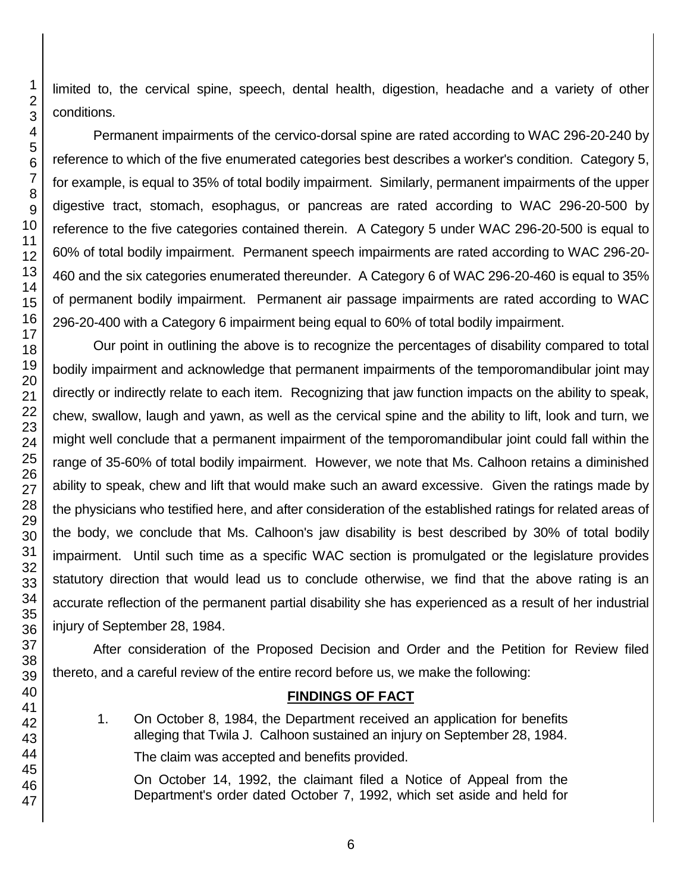limited to, the cervical spine, speech, dental health, digestion, headache and a variety of other conditions.

Permanent impairments of the cervico-dorsal spine are rated according to WAC 296-20-240 by reference to which of the five enumerated categories best describes a worker's condition. Category 5, for example, is equal to 35% of total bodily impairment. Similarly, permanent impairments of the upper digestive tract, stomach, esophagus, or pancreas are rated according to WAC 296-20-500 by reference to the five categories contained therein. A Category 5 under WAC 296-20-500 is equal to 60% of total bodily impairment. Permanent speech impairments are rated according to WAC 296-20- 460 and the six categories enumerated thereunder. A Category 6 of WAC 296-20-460 is equal to 35% of permanent bodily impairment. Permanent air passage impairments are rated according to WAC 296-20-400 with a Category 6 impairment being equal to 60% of total bodily impairment.

Our point in outlining the above is to recognize the percentages of disability compared to total bodily impairment and acknowledge that permanent impairments of the temporomandibular joint may directly or indirectly relate to each item. Recognizing that jaw function impacts on the ability to speak, chew, swallow, laugh and yawn, as well as the cervical spine and the ability to lift, look and turn, we might well conclude that a permanent impairment of the temporomandibular joint could fall within the range of 35-60% of total bodily impairment. However, we note that Ms. Calhoon retains a diminished ability to speak, chew and lift that would make such an award excessive. Given the ratings made by the physicians who testified here, and after consideration of the established ratings for related areas of the body, we conclude that Ms. Calhoon's jaw disability is best described by 30% of total bodily impairment. Until such time as a specific WAC section is promulgated or the legislature provides statutory direction that would lead us to conclude otherwise, we find that the above rating is an accurate reflection of the permanent partial disability she has experienced as a result of her industrial injury of September 28, 1984.

After consideration of the Proposed Decision and Order and the Petition for Review filed thereto, and a careful review of the entire record before us, we make the following:

# **FINDINGS OF FACT**

1. On October 8, 1984, the Department received an application for benefits alleging that Twila J. Calhoon sustained an injury on September 28, 1984.

The claim was accepted and benefits provided.

On October 14, 1992, the claimant filed a Notice of Appeal from the Department's order dated October 7, 1992, which set aside and held for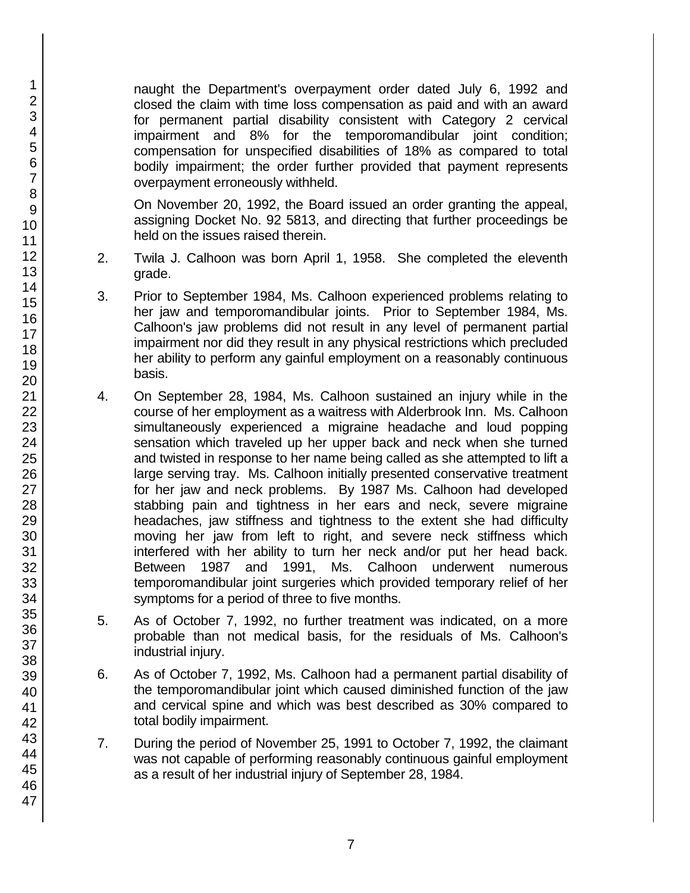naught the Department's overpayment order dated July 6, 1992 and closed the claim with time loss compensation as paid and with an award for permanent partial disability consistent with Category 2 cervical impairment and 8% for the temporomandibular joint condition; compensation for unspecified disabilities of 18% as compared to total bodily impairment; the order further provided that payment represents overpayment erroneously withheld.

On November 20, 1992, the Board issued an order granting the appeal, assigning Docket No. 92 5813, and directing that further proceedings be held on the issues raised therein.

- 2. Twila J. Calhoon was born April 1, 1958. She completed the eleventh grade.
- 3. Prior to September 1984, Ms. Calhoon experienced problems relating to her jaw and temporomandibular joints. Prior to September 1984, Ms. Calhoon's jaw problems did not result in any level of permanent partial impairment nor did they result in any physical restrictions which precluded her ability to perform any gainful employment on a reasonably continuous basis.
- 4. On September 28, 1984, Ms. Calhoon sustained an injury while in the course of her employment as a waitress with Alderbrook Inn. Ms. Calhoon simultaneously experienced a migraine headache and loud popping sensation which traveled up her upper back and neck when she turned and twisted in response to her name being called as she attempted to lift a large serving tray. Ms. Calhoon initially presented conservative treatment for her jaw and neck problems. By 1987 Ms. Calhoon had developed stabbing pain and tightness in her ears and neck, severe migraine headaches, jaw stiffness and tightness to the extent she had difficulty moving her jaw from left to right, and severe neck stiffness which interfered with her ability to turn her neck and/or put her head back. Between 1987 and 1991, Ms. Calhoon underwent numerous temporomandibular joint surgeries which provided temporary relief of her symptoms for a period of three to five months.
- 5. As of October 7, 1992, no further treatment was indicated, on a more probable than not medical basis, for the residuals of Ms. Calhoon's industrial injury.
- 6. As of October 7, 1992, Ms. Calhoon had a permanent partial disability of the temporomandibular joint which caused diminished function of the jaw and cervical spine and which was best described as 30% compared to total bodily impairment.
- 7. During the period of November 25, 1991 to October 7, 1992, the claimant was not capable of performing reasonably continuous gainful employment as a result of her industrial injury of September 28, 1984.